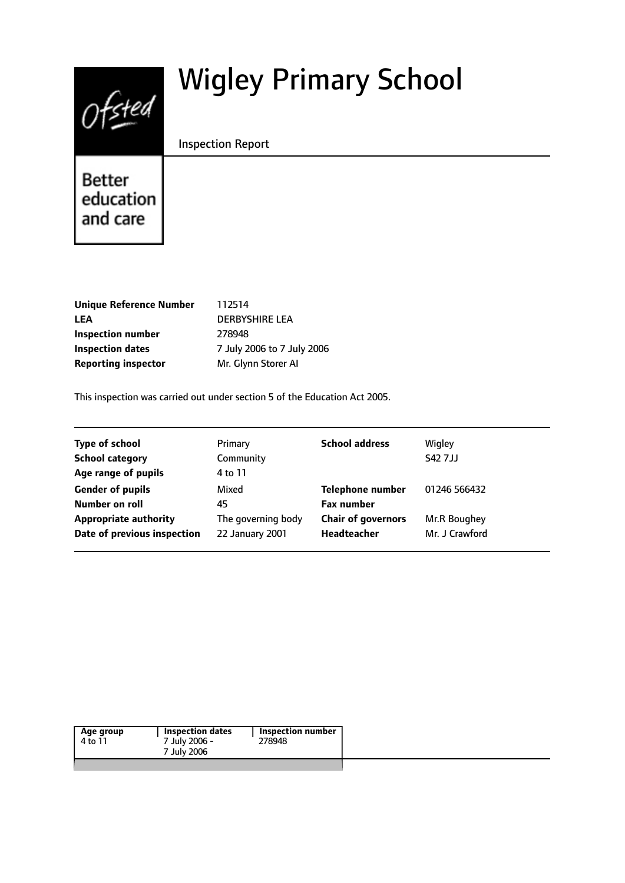# Wigley Primary School



Inspection Report

**Better** education and care

| Unique Reference Number    |               |
|----------------------------|---------------|
| LEA                        | D             |
| Inspection number          | $\mathcal{L}$ |
| <b>Inspection dates</b>    |               |
| <b>Reporting inspector</b> | N             |

**12514 LEA** DERBYSHIRE LEA **Inspection number** 278948 **July 2006 to 7 July 2006 Reporting inspector** Mr. Glynn Storer AI

This inspection was carried out under section 5 of the Education Act 2005.

|                    |                           | Wigley         |
|--------------------|---------------------------|----------------|
| Community          |                           | <b>S42 7JJ</b> |
| 4 to 11            |                           |                |
| Mixed              | <b>Telephone number</b>   | 01246 566432   |
| 45                 | <b>Fax number</b>         |                |
| The governing body | <b>Chair of governors</b> | Mr.R Boughey   |
| 22 January 2001    | Headteacher               | Mr. J Crawford |
|                    |                           |                |

| Age group | Inspection dates | Inspection number |
|-----------|------------------|-------------------|
| 4 to 11   | 7 July 2006 -    | 278948            |
|           | 7 July 2006      |                   |
|           |                  |                   |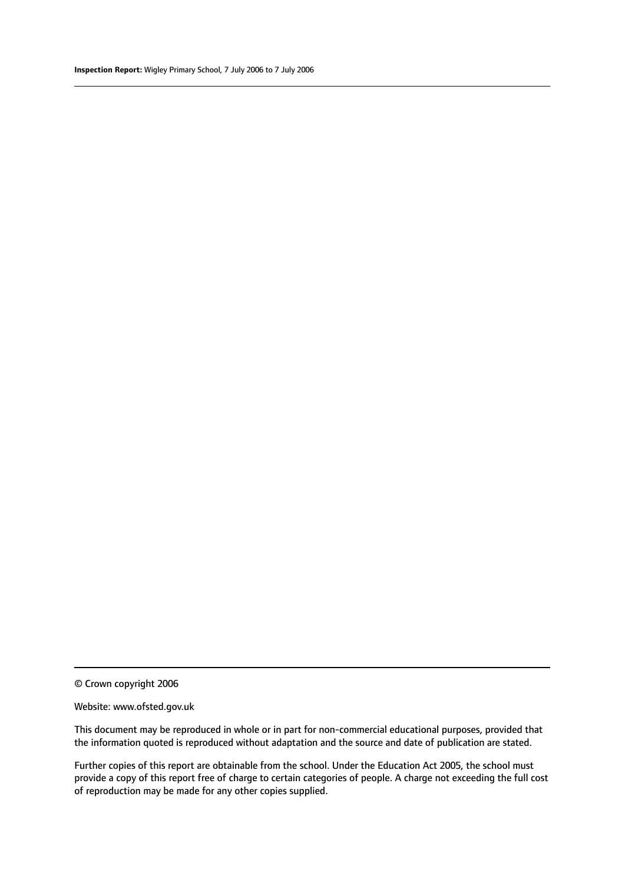### Website: www.ofsted.gov.uk

This document may be reproduced in whole or in part for non-commercial educational purposes, provided that the information quoted is reproduced without adaptation and the source and date of publication are stated.

Further copies of this report are obtainable from the school. Under the Education Act 2005, the school must provide a copy of this report free of charge to certain categories of people. A charge not exceeding the full cost of reproduction may be made for any other copies supplied.

<sup>©</sup> Crown copyright 2006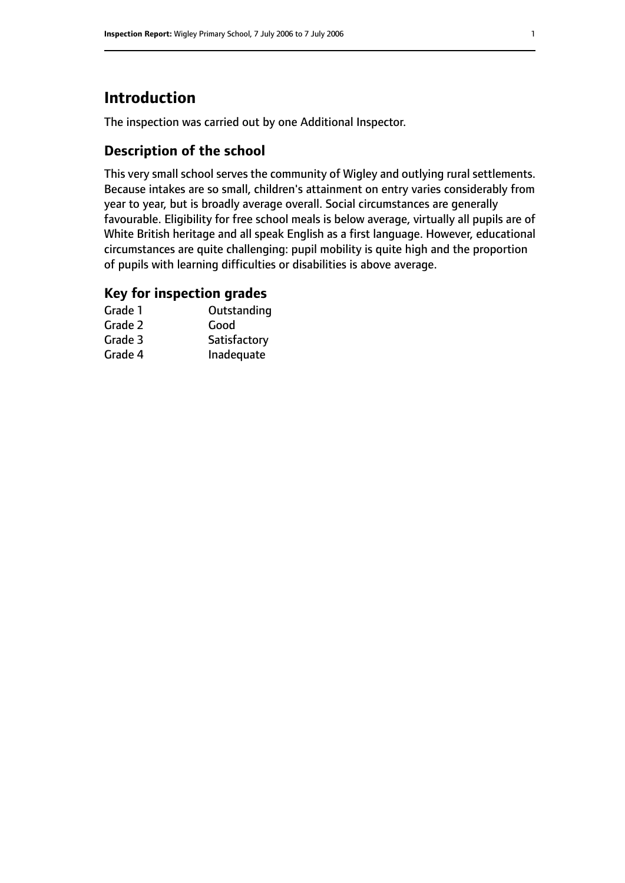# **Introduction**

The inspection was carried out by one Additional Inspector.

### **Description of the school**

This very small school serves the community of Wigley and outlying rural settlements. Because intakes are so small, children's attainment on entry varies considerably from year to year, but is broadly average overall. Social circumstances are generally favourable. Eligibility for free school meals is below average, virtually all pupils are of White British heritage and all speak English as a first language. However, educational circumstances are quite challenging: pupil mobility is quite high and the proportion of pupils with learning difficulties or disabilities is above average.

### **Key for inspection grades**

| Grade 1 | Outstanding  |
|---------|--------------|
| Grade 2 | Good         |
| Grade 3 | Satisfactory |
| Grade 4 | Inadequate   |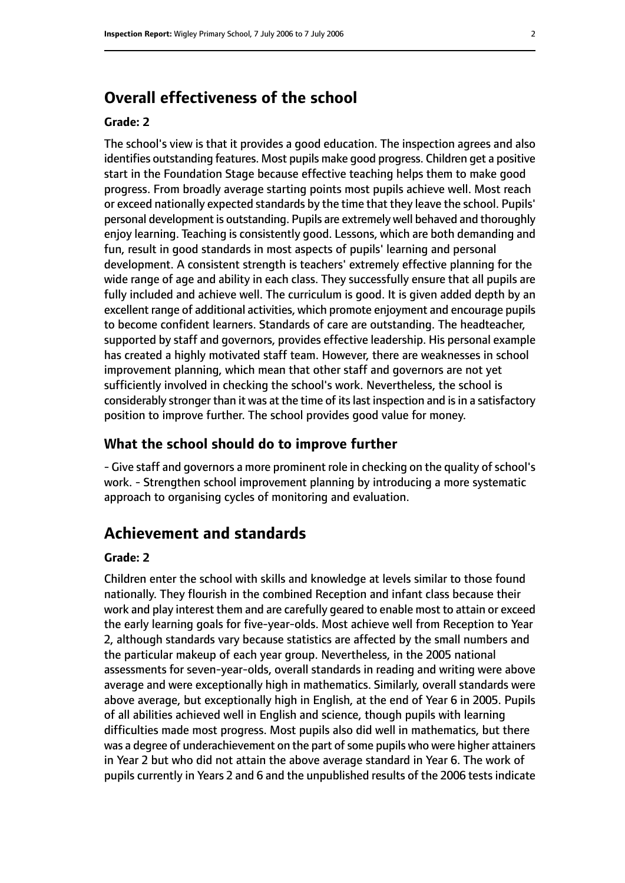# **Overall effectiveness of the school**

### **Grade: 2**

The school's view is that it provides a good education. The inspection agrees and also identifies outstanding features. Most pupils make good progress. Children get a positive start in the Foundation Stage because effective teaching helps them to make good progress. From broadly average starting points most pupils achieve well. Most reach or exceed nationally expected standards by the time that they leave the school. Pupils' personal development is outstanding. Pupils are extremely well behaved and thoroughly enjoy learning. Teaching is consistently good. Lessons, which are both demanding and fun, result in good standards in most aspects of pupils' learning and personal development. A consistent strength is teachers' extremely effective planning for the wide range of age and ability in each class. They successfully ensure that all pupils are fully included and achieve well. The curriculum is good. It is given added depth by an excellent range of additional activities, which promote enjoyment and encourage pupils to become confident learners. Standards of care are outstanding. The headteacher, supported by staff and governors, provides effective leadership. His personal example has created a highly motivated staff team. However, there are weaknesses in school improvement planning, which mean that other staff and governors are not yet sufficiently involved in checking the school's work. Nevertheless, the school is considerably stronger than it was at the time of its last inspection and is in a satisfactory position to improve further. The school provides good value for money.

### **What the school should do to improve further**

- Give staff and governors a more prominent role in checking on the quality of school's work. - Strengthen school improvement planning by introducing a more systematic approach to organising cycles of monitoring and evaluation.

### **Achievement and standards**

### **Grade: 2**

Children enter the school with skills and knowledge at levels similar to those found nationally. They flourish in the combined Reception and infant class because their work and play interest them and are carefully geared to enable most to attain or exceed the early learning goals for five-year-olds. Most achieve well from Reception to Year 2, although standards vary because statistics are affected by the small numbers and the particular makeup of each year group. Nevertheless, in the 2005 national assessments for seven-year-olds, overall standards in reading and writing were above average and were exceptionally high in mathematics. Similarly, overall standards were above average, but exceptionally high in English, at the end of Year 6 in 2005. Pupils of all abilities achieved well in English and science, though pupils with learning difficulties made most progress. Most pupils also did well in mathematics, but there was a degree of underachievement on the part of some pupils who were higher attainers in Year 2 but who did not attain the above average standard in Year 6. The work of pupils currently in Years 2 and 6 and the unpublished results of the 2006 tests indicate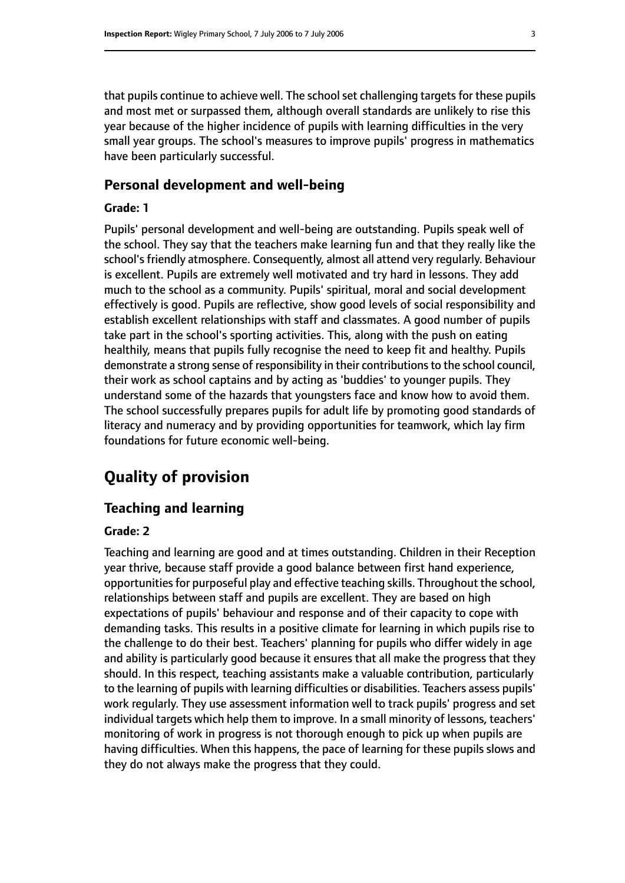that pupils continue to achieve well. The school set challenging targets for these pupils and most met or surpassed them, although overall standards are unlikely to rise this year because of the higher incidence of pupils with learning difficulties in the very small year groups. The school's measures to improve pupils' progress in mathematics have been particularly successful.

### **Personal development and well-being**

### **Grade: 1**

Pupils' personal development and well-being are outstanding. Pupils speak well of the school. They say that the teachers make learning fun and that they really like the school's friendly atmosphere. Consequently, almost all attend very regularly. Behaviour is excellent. Pupils are extremely well motivated and try hard in lessons. They add much to the school as a community. Pupils' spiritual, moral and social development effectively is good. Pupils are reflective, show good levels of social responsibility and establish excellent relationships with staff and classmates. A good number of pupils take part in the school's sporting activities. This, along with the push on eating healthily, means that pupils fully recognise the need to keep fit and healthy. Pupils demonstrate a strong sense of responsibility in their contributions to the school council, their work as school captains and by acting as 'buddies' to younger pupils. They understand some of the hazards that youngsters face and know how to avoid them. The school successfully prepares pupils for adult life by promoting good standards of literacy and numeracy and by providing opportunities for teamwork, which lay firm foundations for future economic well-being.

## **Quality of provision**

### **Teaching and learning**

### **Grade: 2**

Teaching and learning are good and at times outstanding. Children in their Reception year thrive, because staff provide a good balance between first hand experience, opportunities for purposeful play and effective teaching skills. Throughout the school, relationships between staff and pupils are excellent. They are based on high expectations of pupils' behaviour and response and of their capacity to cope with demanding tasks. This results in a positive climate for learning in which pupils rise to the challenge to do their best. Teachers' planning for pupils who differ widely in age and ability is particularly good because it ensures that all make the progress that they should. In this respect, teaching assistants make a valuable contribution, particularly to the learning of pupils with learning difficulties or disabilities. Teachers assess pupils' work regularly. They use assessment information well to track pupils' progress and set individual targets which help them to improve. In a small minority of lessons, teachers' monitoring of work in progress is not thorough enough to pick up when pupils are having difficulties. When this happens, the pace of learning for these pupils slows and they do not always make the progress that they could.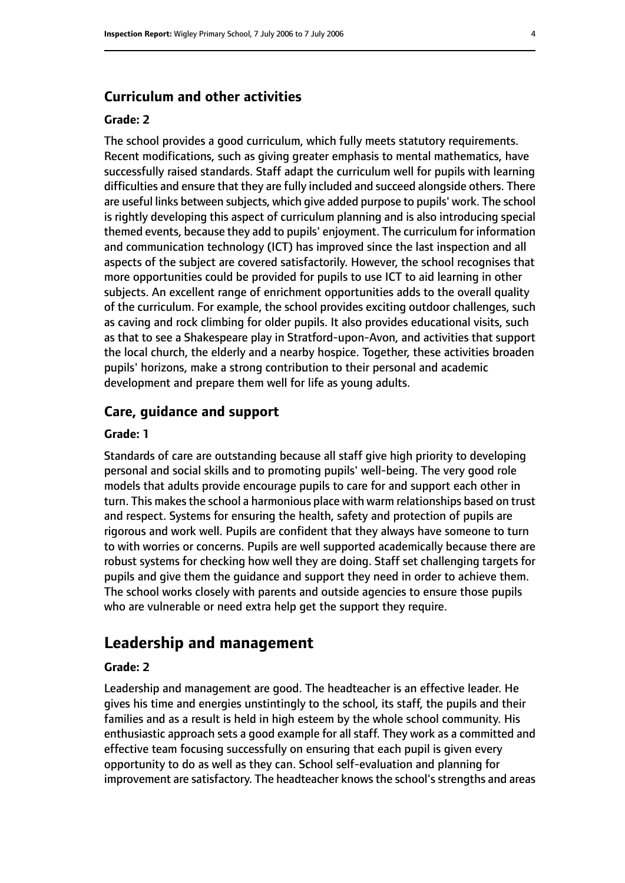### **Curriculum and other activities**

### **Grade: 2**

The school provides a good curriculum, which fully meets statutory requirements. Recent modifications, such as giving greater emphasis to mental mathematics, have successfully raised standards. Staff adapt the curriculum well for pupils with learning difficulties and ensure that they are fully included and succeed alongside others. There are useful links between subjects, which give added purpose to pupils' work. The school is rightly developing this aspect of curriculum planning and is also introducing special themed events, because they add to pupils' enjoyment. The curriculum for information and communication technology (ICT) has improved since the last inspection and all aspects of the subject are covered satisfactorily. However, the school recognises that more opportunities could be provided for pupils to use ICT to aid learning in other subjects. An excellent range of enrichment opportunities adds to the overall quality of the curriculum. For example, the school provides exciting outdoor challenges, such as caving and rock climbing for older pupils. It also provides educational visits, such as that to see a Shakespeare play in Stratford-upon-Avon, and activities that support the local church, the elderly and a nearby hospice. Together, these activities broaden pupils' horizons, make a strong contribution to their personal and academic development and prepare them well for life as young adults.

### **Care, guidance and support**

### **Grade: 1**

Standards of care are outstanding because all staff give high priority to developing personal and social skills and to promoting pupils' well-being. The very good role models that adults provide encourage pupils to care for and support each other in turn. This makes the school a harmonious place with warm relationships based on trust and respect. Systems for ensuring the health, safety and protection of pupils are rigorous and work well. Pupils are confident that they always have someone to turn to with worries or concerns. Pupils are well supported academically because there are robust systems for checking how well they are doing. Staff set challenging targets for pupils and give them the guidance and support they need in order to achieve them. The school works closely with parents and outside agencies to ensure those pupils who are vulnerable or need extra help get the support they require.

### **Leadership and management**

### **Grade: 2**

Leadership and management are good. The headteacher is an effective leader. He gives his time and energies unstintingly to the school, its staff, the pupils and their families and as a result is held in high esteem by the whole school community. His enthusiastic approach sets a good example for all staff. They work as a committed and effective team focusing successfully on ensuring that each pupil is given every opportunity to do as well as they can. School self-evaluation and planning for improvement are satisfactory. The headteacher knows the school's strengths and areas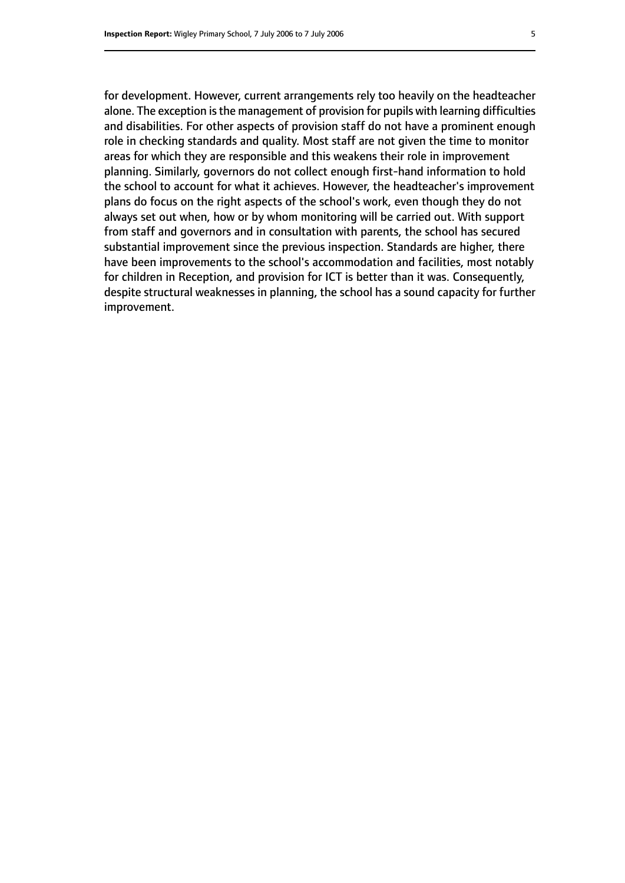for development. However, current arrangements rely too heavily on the headteacher alone. The exception is the management of provision for pupils with learning difficulties and disabilities. For other aspects of provision staff do not have a prominent enough role in checking standards and quality. Most staff are not given the time to monitor areas for which they are responsible and this weakens their role in improvement planning. Similarly, governors do not collect enough first-hand information to hold the school to account for what it achieves. However, the headteacher's improvement plans do focus on the right aspects of the school's work, even though they do not always set out when, how or by whom monitoring will be carried out. With support from staff and governors and in consultation with parents, the school has secured substantial improvement since the previous inspection. Standards are higher, there have been improvements to the school's accommodation and facilities, most notably for children in Reception, and provision for ICT is better than it was. Consequently, despite structural weaknesses in planning, the school has a sound capacity for further improvement.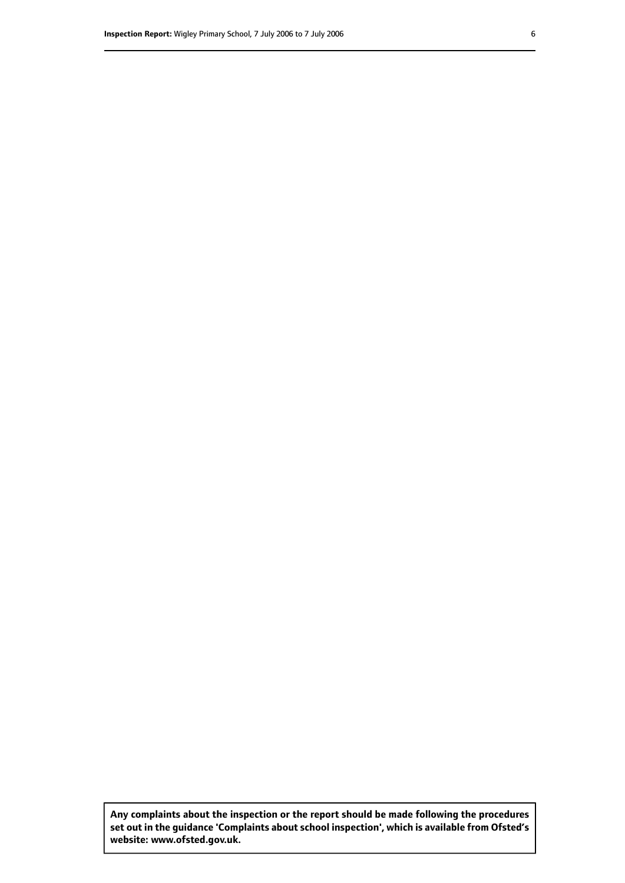**Any complaints about the inspection or the report should be made following the procedures set out inthe guidance 'Complaints about school inspection', whichis available from Ofsted's website: www.ofsted.gov.uk.**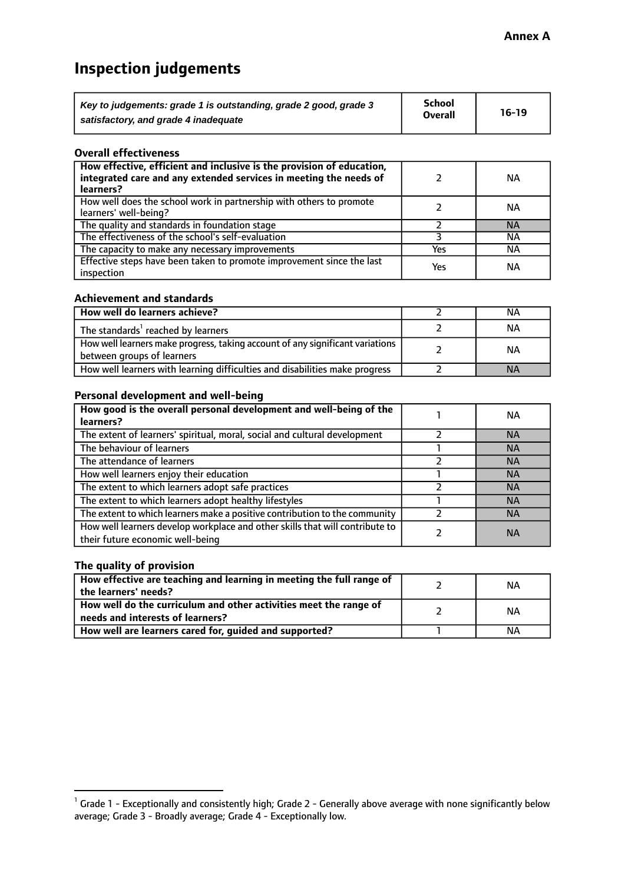# **Inspection judgements**

| Key to judgements: grade 1 is outstanding, grade 2 good, grade 3 | <b>School</b>  | $16-19$ |
|------------------------------------------------------------------|----------------|---------|
| satisfactory, and grade 4 inadequate                             | <b>Overall</b> |         |

### **Overall effectiveness**

| How effective, efficient and inclusive is the provision of education,<br>integrated care and any extended services in meeting the needs of<br>learners? |     | <b>NA</b> |
|---------------------------------------------------------------------------------------------------------------------------------------------------------|-----|-----------|
| How well does the school work in partnership with others to promote<br>learners' well-being?                                                            |     | ΝA        |
| The quality and standards in foundation stage                                                                                                           |     | <b>NA</b> |
| The effectiveness of the school's self-evaluation                                                                                                       |     | ΝA        |
| The capacity to make any necessary improvements                                                                                                         | Yes | NА        |
| Effective steps have been taken to promote improvement since the last<br>inspection                                                                     | Yes | <b>NA</b> |

### **Achievement and standards**

| How well do learners achieve?                                                                               | ΝA        |
|-------------------------------------------------------------------------------------------------------------|-----------|
| The standards <sup>1</sup> reached by learners                                                              | NА        |
| How well learners make progress, taking account of any significant variations<br>between groups of learners | <b>NA</b> |
| How well learners with learning difficulties and disabilities make progress                                 | <b>NA</b> |

### **Personal development and well-being**

| How good is the overall personal development and well-being of the<br>learners?                                  | ΝA        |
|------------------------------------------------------------------------------------------------------------------|-----------|
| The extent of learners' spiritual, moral, social and cultural development                                        | <b>NA</b> |
| The behaviour of learners                                                                                        | <b>NA</b> |
| The attendance of learners                                                                                       | <b>NA</b> |
| How well learners enjoy their education                                                                          | <b>NA</b> |
| The extent to which learners adopt safe practices                                                                | <b>NA</b> |
| The extent to which learners adopt healthy lifestyles                                                            | <b>NA</b> |
| The extent to which learners make a positive contribution to the community                                       | <b>NA</b> |
| How well learners develop workplace and other skills that will contribute to<br>their future economic well-being | <b>NA</b> |

### **The quality of provision**

| How effective are teaching and learning in meeting the full range of<br>the learners' needs?          | ΝA |
|-------------------------------------------------------------------------------------------------------|----|
| How well do the curriculum and other activities meet the range of<br>needs and interests of learners? | ΝA |
| How well are learners cared for, guided and supported?                                                | ΝA |

 $^1$  Grade 1 - Exceptionally and consistently high; Grade 2 - Generally above average with none significantly below average; Grade 3 - Broadly average; Grade 4 - Exceptionally low.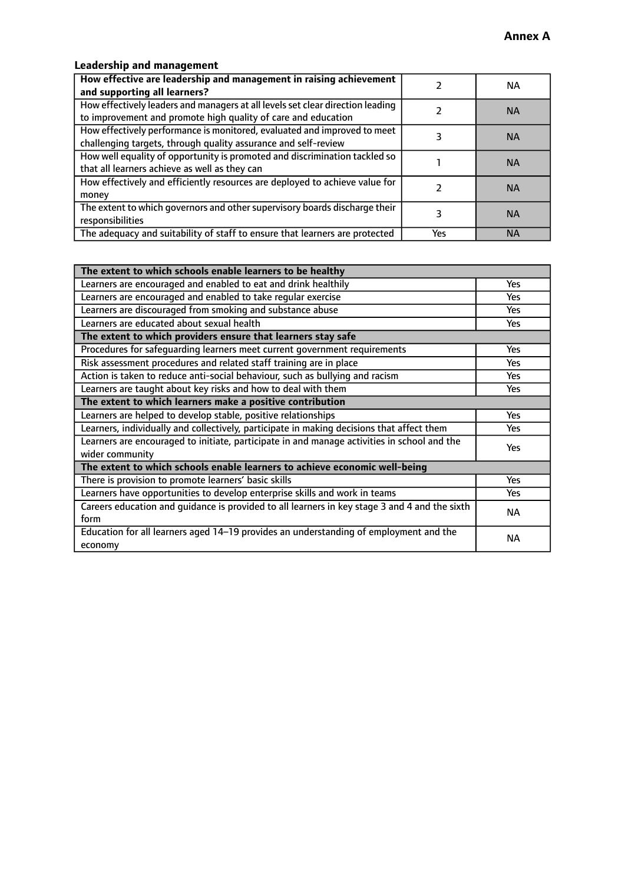### **Leadership and management**

| How effective are leadership and management in raising achievement<br>and supporting all learners?                                              |     | NA.       |
|-------------------------------------------------------------------------------------------------------------------------------------------------|-----|-----------|
| How effectively leaders and managers at all levels set clear direction leading<br>to improvement and promote high quality of care and education |     | <b>NA</b> |
| How effectively performance is monitored, evaluated and improved to meet<br>challenging targets, through quality assurance and self-review      |     | <b>NA</b> |
| How well equality of opportunity is promoted and discrimination tackled so<br>that all learners achieve as well as they can                     |     | <b>NA</b> |
| How effectively and efficiently resources are deployed to achieve value for<br>money                                                            |     | <b>NA</b> |
| The extent to which governors and other supervisory boards discharge their<br>responsibilities                                                  |     | <b>NA</b> |
| The adequacy and suitability of staff to ensure that learners are protected                                                                     | Yes | <b>NA</b> |

| The extent to which schools enable learners to be healthy                                     |            |  |
|-----------------------------------------------------------------------------------------------|------------|--|
| Learners are encouraged and enabled to eat and drink healthily                                | Yes        |  |
| Learners are encouraged and enabled to take regular exercise                                  | <b>Yes</b> |  |
| Learners are discouraged from smoking and substance abuse                                     | Yes        |  |
| Learners are educated about sexual health                                                     | Yes        |  |
| The extent to which providers ensure that learners stay safe                                  |            |  |
| Procedures for safequarding learners meet current government requirements                     | Yes        |  |
| Risk assessment procedures and related staff training are in place                            | <b>Yes</b> |  |
| Action is taken to reduce anti-social behaviour, such as bullying and racism                  | <b>Yes</b> |  |
| Learners are taught about key risks and how to deal with them                                 | Yes        |  |
| The extent to which learners make a positive contribution                                     |            |  |
| Learners are helped to develop stable, positive relationships                                 | Yes        |  |
| Learners, individually and collectively, participate in making decisions that affect them     | Yes        |  |
| Learners are encouraged to initiate, participate in and manage activities in school and the   |            |  |
| wider community                                                                               | <b>Yes</b> |  |
| The extent to which schools enable learners to achieve economic well-being                    |            |  |
| There is provision to promote learners' basic skills                                          | Yes        |  |
| Learners have opportunities to develop enterprise skills and work in teams                    | Yes        |  |
| Careers education and guidance is provided to all learners in key stage 3 and 4 and the sixth | <b>NA</b>  |  |
| form                                                                                          |            |  |
| Education for all learners aged 14-19 provides an understanding of employment and the         | NА         |  |
| economy                                                                                       |            |  |